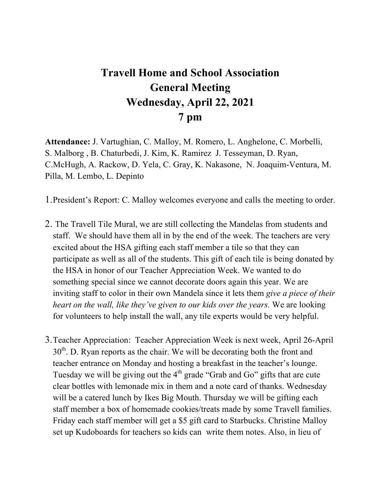## **Travell Home and School Association General Meeting Wednesday, April 22, 2021 7 pm**

**Attendance:** J. Vartughian, C. Malloy, M. Romero, L. Anghelone, C. Morbelli, S. Malborg , B. Chaturbedi, J. Kim, K. Ramirez J. Tesseyman, D. Ryan, C.McHugh, A. Rackow, D. Yela, C. Gray, K. Nakasone, N. Joaquim-Ventura, M. Pilla, M. Lembo, L. Depinto

1.President's Report: C. Malloy welcomes everyone and calls the meeting to order.

- 2. The Travell Tile Mural, we are still collecting the Mandelas from students and staff. We should have them all in by the end of the week. The teachers are very excited about the HSA gifting each staff member a tile so that they can participate as well as all of the students. This gift of each tile is being donated by the HSA in honor of our Teacher Appreciation Week. We wanted to do something special since we cannot decorate doors again this year. We are inviting staff to color in their own Mandela since it lets them *give a piece of their heart on the wall, like they've given to our kids over the years.* We are looking for volunteers to help install the wall, any tile experts would be very helpful.
- 3.Teacher Appreciation: Teacher Appreciation Week is next week, April 26-April  $30<sup>th</sup>$ . D. Ryan reports as the chair. We will be decorating both the front and teacher entrance on Monday and hosting a breakfast in the teacher's lounge. Tuesday we will be giving out the  $4<sup>th</sup>$  grade "Grab and Go" gifts that are cute clear bottles with lemonade mix in them and a note card of thanks. Wednesday will be a catered lunch by Ikes Big Mouth. Thursday we will be gifting each staff member a box of homemade cookies/treats made by some Travell families. Friday each staff member will get a \$5 gift card to Starbucks. Christine Malloy set up Kudoboards for teachers so kids can write them notes. Also, in lieu of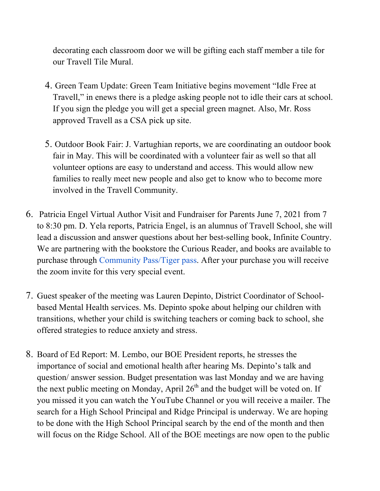decorating each classroom door we will be gifting each staff member a tile for our Travell Tile Mural.

- 4. Green Team Update: Green Team Initiative begins movement "Idle Free at Travell," in enews there is a pledge asking people not to idle their cars at school. If you sign the pledge you will get a special green magnet. Also, Mr. Ross approved Travell as a CSA pick up site.
- 5. Outdoor Book Fair: J. Vartughian reports, we are coordinating an outdoor book fair in May. This will be coordinated with a volunteer fair as well so that all volunteer options are easy to understand and access. This would allow new families to really meet new people and also get to know who to become more involved in the Travell Community.
- 6. Patricia Engel Virtual Author Visit and Fundraiser for Parents June 7, 2021 from 7 to 8:30 pm. D. Yela reports, Patricia Engel, is an alumnus of Travell School, she will lead a discussion and answer questions about her best-selling book, Infinite Country. We are partnering with the bookstore the Curious Reader, and books are available to purchase through Community Pass/Tiger pass. After your purchase you will receive the zoom invite for this very special event.
- 7. Guest speaker of the meeting was Lauren Depinto, District Coordinator of Schoolbased Mental Health services. Ms. Depinto spoke about helping our children with transitions, whether your child is switching teachers or coming back to school, she offered strategies to reduce anxiety and stress.
- 8. Board of Ed Report: M. Lembo, our BOE President reports, he stresses the importance of social and emotional health after hearing Ms. Depinto's talk and question/ answer session. Budget presentation was last Monday and we are having the next public meeting on Monday, April  $26<sup>th</sup>$  and the budget will be voted on. If you missed it you can watch the YouTube Channel or you will receive a mailer. The search for a High School Principal and Ridge Principal is underway. We are hoping to be done with the High School Principal search by the end of the month and then will focus on the Ridge School. All of the BOE meetings are now open to the public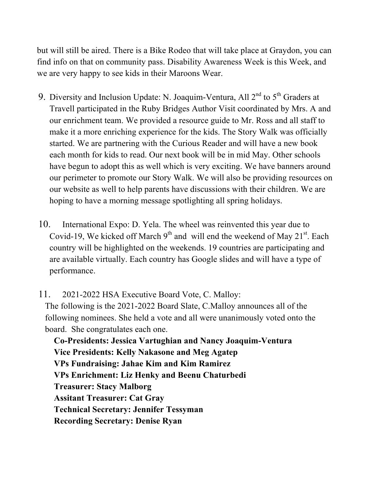but will still be aired. There is a Bike Rodeo that will take place at Graydon, you can find info on that on community pass. Disability Awareness Week is this Week, and we are very happy to see kids in their Maroons Wear.

- 9. Diversity and Inclusion Update: N. Joaquim-Ventura, All  $2^{nd}$  to  $5^{th}$  Graders at Travell participated in the Ruby Bridges Author Visit coordinated by Mrs. A and our enrichment team. We provided a resource guide to Mr. Ross and all staff to make it a more enriching experience for the kids. The Story Walk was officially started. We are partnering with the Curious Reader and will have a new book each month for kids to read. Our next book will be in mid May. Other schools have begun to adopt this as well which is very exciting. We have banners around our perimeter to promote our Story Walk. We will also be providing resources on our website as well to help parents have discussions with their children. We are hoping to have a morning message spotlighting all spring holidays.
- 10. International Expo: D. Yela. The wheel was reinvented this year due to Covid-19, We kicked off March  $9<sup>th</sup>$  and will end the weekend of May 21<sup>st</sup>. Each country will be highlighted on the weekends. 19 countries are participating and are available virtually. Each country has Google slides and will have a type of performance.

11. 2021-2022 HSA Executive Board Vote, C. Malloy: The following is the 2021-2022 Board Slate, C.Malloy announces all of the following nominees. She held a vote and all were unanimously voted onto the board. She congratulates each one.

**Co-Presidents: Jessica Vartughian and Nancy Joaquim-Ventura Vice Presidents: Kelly Nakasone and Meg Agatep VPs Fundraising: Jahae Kim and Kim Ramirez VPs Enrichment: Liz Henky and Beenu Chaturbedi Treasurer: Stacy Malborg Assitant Treasurer: Cat Gray Technical Secretary: Jennifer Tessyman Recording Secretary: Denise Ryan**